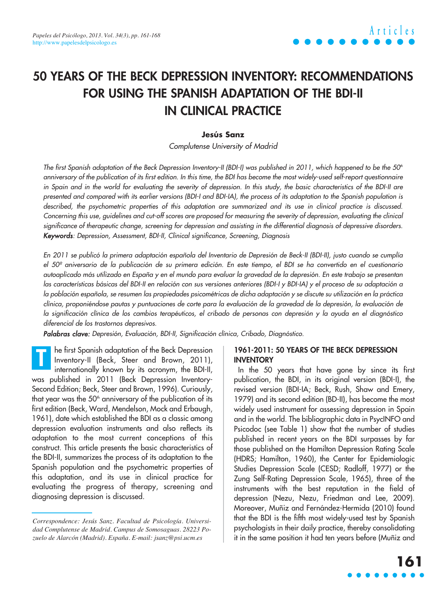# **50 YEARS OF THE BECK DEPRESSION INVENTORY: RECOMMENDATIONS FOR USING THE SPANISH ADAPTATION OF THE BDI-II IN CLINICAL PRACTICE**

### **Jesús Sanz**

Complutense University of Madrid

The first Spanish adaptation of the Beck Depression Inventory-II (BDI-I) was published in 2011, which happened to be the 50<sup>th</sup> anniversary of the publication of its first edition. In this time, the BDI has become the most widely-used self-report questionnaire in Spain and in the world for evaluating the severity of depression. In this study, the basic characteristics of the BDI-II are presented and compared with its earlier versions (BDI-I and BDI-IA), the process of its adaptation to the Spanish population is described, the psychometric properties of this adaptation are summarized and its use in clinical practice is discussed. Concerning this use, guidelines and cut-off scores are proposed for measuring the severity of depression, evaluating the clinical significance of therapeutic change, screening for depression and assisting in the differential diagnosis of depressive disorders. Keywords: Depression, Assessment, BDI-II, Clinical significance, Screening, Diagnosis

En 2011 se publicó la primera adaptación española del Inventario de Depresión de Beck-II (BDI-II), justo cuando se cumplía el 50º aniversario de la publicación de su primera edición. En este tiempo, el BDI se ha convertido en el cuestionario autoaplicado más utilizado en España y en el mundo para evaluar la gravedad de la depresión. En este trabajo se presentan las características básicas del BDI-II en relación con sus versiones anteriores (BDI-I y BDI-IA) y el proceso de su adaptación a la población española, se resumen las propiedades psicométricas de dicha adaptación y se discute su utilización en la práctica clínica, proponiéndose pautas y puntuaciones de corte para la evaluación de la gravedad de la depresión, la evaluación de la significación clínica de los cambios terapéuticos, el cribado de personas con depresión y la ayuda en el diagnóstico diferencial de los trastornos depresivos.

Palabras clave: Depresión, Evaluación, BDI-II, Significación clínica, Cribado, Diagnóstico.

he first Spanish adaptation of the Beck Depression Inventory-II (Beck, Steer and Brown, 2011), internationally known by its acronym, the BDI-II, was published in 2011 (Beck Depression Inventory-Second Edition; Beck, Steer and Brown, 1996). Curiously, that year was the  $50<sup>th</sup>$  anniversary of the publication of its first edition (Beck, Ward, Mendelson, Mock and Erbaugh, 1961), date which established the BDI as a classic among depression evaluation instruments and also reflects its adaptation to the most current conceptions of this construct. This article presents the basic characteristics of the BDI-II, summarizes the process of its adaptation to the Spanish population and the psychometric properties of this adaptation, and its use in clinical practice for evaluating the progress of therapy, screening and diagnosing depression is discussed. **T**

### **1961-2011: 50 YEARS OF THE BECK DEPRESSION INVENTORY**

In the 50 years that have gone by since its first publication, the BDI, in its original version (BDI-I), the revised version (BDI-IA; Beck, Rush, Shaw and Emery, 1979) and its second edition (BD-II), has become the most widely used instrument for assessing depression in Spain and in the world. The bibliographic data in PsycINFO and Psicodoc (see Table 1) show that the number of studies published in recent years on the BDI surpasses by far those published on the Hamilton Depression Rating Scale (HDRS; Hamilton, 1960), the Center for Epidemiologic Studies Depression Scale (CESD; Radloff, 1977) or the Zung Self-Rating Depression Scale, 1965), three of the instruments with the best reputation in the field of depression (Nezu, Nezu, Friedman and Lee, 2009). Moreover, Muñiz and Fernández-Hermida (2010) found that the BDI is the fifth most widely-used test by Spanish psychologists in their daily practice, thereby consolidating it in the same position it had ten years before (Muñiz and

*Correspondence: Jesús Sanz. Facultad de Psicología. Universidad Complutense de Madrid. Campus de Somosaguas. 28223 Pozuelo de Alarcón (Madrid). España. E-mail: jsanz@psi.ucm.es*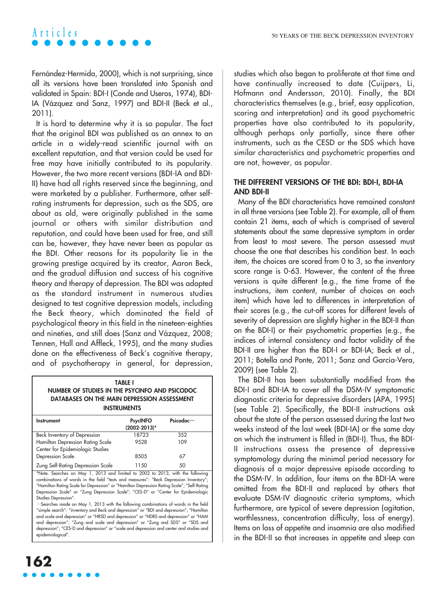# A **r** t i c l e s

Fernández-Hermida, 2000), which is not surprising, since all its versions have been translated into Spanish and validated in Spain: BDI-I (Conde and Useros, 1974), BDI-IA (Vázquez and Sanz, 1997) and BDI-II (Beck et al., 2011).

It is hard to determine why it is so popular. The fact that the original BDI was published as an annex to an article in a widely-read scientific journal with an excellent reputation, and that version could be used for free may have initially contributed to its popularity. However, the two more recent versions (BDI-IA and BDI-II) have had all rights reserved since the beginning, and were marketed by a publisher. Furthermore, other selfrating instruments for depression, such as the SDS, are about as old, were originally published in the same journal or others with similar distribution and reputation, and could have been used for free, and still can be, however, they have never been as popular as the BDI. Other reasons for its popularity lie in the growing prestige acquired by its creator, Aaron Beck, and the gradual diffusion and success of his cognitive theory and therapy of depression. The BDI was adopted as the standard instrument in numerous studies designed to test cognitive depression models, including the Beck theory, which dominated the field of psychological theory in this field in the nineteen-eighties and nineties, and still does (Sanz and Vázquez, 2008; Tennen, Hall and Affleck, 1995), and the many studies done on the effectiveness of Beck's cognitive therapy, and of psychotherapy in general, for depression,

**TABLE I NUMBER OF STUDIES IN THE PSYCINFO AND PSICODOC DATABASES ON THE MAIN DEPRESSION ASSESSMENT INSTRUMENTS**

| Instrument                        | <b>PsycINFO</b><br>(2002-2013)* | Psicodoc… |
|-----------------------------------|---------------------------------|-----------|
| Beck Inventory of Depression      | 18723                           | 352       |
| Hamilton Depression Rating Scale  | 9528                            | 109       |
| Center for Epidemiologic Studies  |                                 |           |
| Depression Scale                  | 8505                            | 67        |
| Zung Self-Rating Depression Scale | 1150                            | 50        |

\*Note. Searches on May 1, 2013 and limited to 2002 to 2013, with the following combinations of words in the field "tests and measures": "Beck Depression Inventory"; "Hamilton Rating Scale for Depression" or "Hamilton Depression Rating Scale"; "Self-Rating Depression Scale" or "Zung Depression Scale"; "CES-D" or "Center for Epidemiologic Studies Depression".

…Searches made on May 1, 2013 with the following combinations of words in the field "simple search": "inventory and Beck and depression" or "BDI and depression"; "Hamilton and scale and depression" or "HRSD and depression" or "HDRS and depression" or "HAM and depression"; "Zung and scale and depression" or "Zung and SDS" or "SDS and depression"; "CES-D and depression" or "scale and depression and center and studies and epidemiological".

studies which also began to proliferate at that time and have continually increased to date (Cuijpers, Li, Hofmann and Andersson, 2010). Finally, the BDI characteristics themselves (e.g., brief, easy application, scoring and interpretation) and its good psychometric properties have also contributed to its popularity, although perhaps only partially, since there other instruments, such as the CESD or the SDS which have similar characteristics and psychometric properties and are not, however, as popular.

# **THE DIFFERENT VERSIONS OF THE BDI: BDI-I, BDI-IA AND BDI-II**

Many of the BDI characteristics have remained constant in all three versions (see Table 2). For example, all of them contain 21 items, each of which is comprised of several statements about the same depressive symptom in order from least to most severe. The person assessed must choose the one that describes his condition best. In each item, the choices are scored from 0 to 3, so the inventory score range is 0-63. However, the content of the three versions is quite different (e.g., the time frame of the instructions, item content, number of choices on each item) which have led to differences in interpretation of their scores (e.g., the cut-off scores for different levels of severity of depression are slightly higher in the BDI-II than on the BDI-I) or their psychometric properties (e.g., the indices of internal consistency and factor validity of the BDI-II are higher than the BDI-I or BDI-IA; Beck et al., 2011; Botella and Ponte, 2011; Sanz and García-Vera, 2009) (see Table 2).

The BDI-II has been substantially modified from the BDI-I and BDI-IA to cover all the DSM-IV symptomatic diagnostic criteria for depressive disorders (APA, 1995) (see Table 2). Specifically, the BDI-II instructions ask about the state of the person assessed during the last two weeks instead of the last week (BDI-IA) or the same day on which the instrument is filled in (BDI-I). Thus, the BDI-II instructions assess the presence of depressive symptomology during the minimal period necessary for diagnosis of a major depressive episode according to the DSM-IV. In addition, four items on the BDI-IA were omitted from the BDI-II and replaced by others that evaluate DSM-IV diagnostic criteria symptoms, which furthermore, are typical of severe depression (agitation, worthlessness, concentration difficulty, loss of energy). Items on loss of appetite and insomnia are also modified in the BDI-II so that increases in appetite and sleep can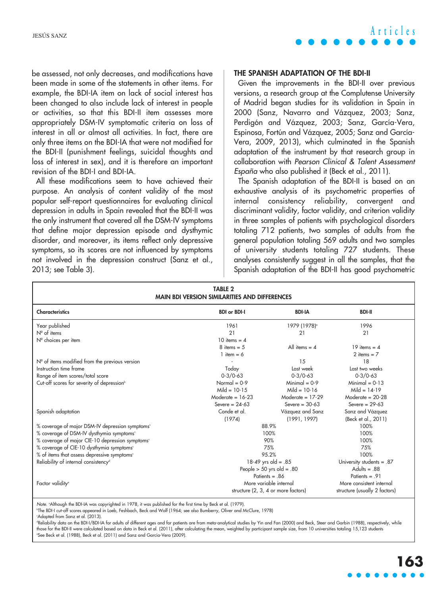be assessed, not only decreases, and modifications have been made in some of the statements in other items. For example, the BDI-IA item on lack of social interest has been changed to also include lack of interest in people or activities, so that this BDI-II item assesses more appropriately DSM-IV symptomatic criteria on loss of interest in all or almost all activities. In fact, there are only three items on the BDI-IA that were not modified for the BDI-II (punishment feelings, suicidal thoughts and loss of interest in sex), and it is therefore an important revision of the BDI-I and BDI-IA.

All these modifications seem to have achieved their purpose. An analysis of content validity of the most popular self-report questionnaires for evaluating clinical depression in adults in Spain revealed that the BDI-II was the only instrument that covered all the DSM-IV symptoms that define major depression episode and dysthymic disorder, and moreover, its items reflect only depressive symptoms, so its scores are not influenced by symptoms not involved in the depression construct (Sanz et al., 2013; see Table 3).

# JESÚS SANZ **Articles**

#### **THE SPANISH ADAPTATION OF THE BDI-II**

Given the improvements in the BDI-II over previous versions, a research group at the Complutense University of Madrid began studies for its validation in Spain in 2000 (Sanz, Navarro and Vázquez, 2003; Sanz, Perdigón and Vázquez, 2003; Sanz, García-Vera, Espinosa, Fortún and Vázquez, 2005; Sanz and García-Vera, 2009, 2013), which culminated in the Spanish adaptation of the instrument by that research group in collaboration with Pearson Clinical & Talent Assessment España who also published it (Beck et al., 2011).

The Spanish adaptation of the BDI-II is based on an exhaustive analysis of its psychometric properties of internal consistency reliability, convergent and discriminant validity, factor validity, and criterion validity in three samples of patients with psychological disorders totaling 712 patients, two samples of adults from the general population totaling 569 adults and two samples of university students totaling 727 students. These analyses consistently suggest in all the samples, that the Spanish adaptation of the BDI-II has good psychometric

| <b>TABLE 2</b><br><b>MAIN BDI VERSION SIMILARITIES AND DIFFERENCES</b> |                                                                      |                          |                           |  |
|------------------------------------------------------------------------|----------------------------------------------------------------------|--------------------------|---------------------------|--|
| <b>Characteristics</b>                                                 | <b>BDI or BDI-I</b>                                                  | <b>BDI-IA</b>            | <b>BDI-II</b>             |  |
| Year published                                                         | 1961                                                                 | 1979 (1978) <sup>°</sup> | 1996                      |  |
| $N^{\circ}$ of items                                                   | 21                                                                   | 21                       | 21                        |  |
| Nº choices per item                                                    | 10 items = $4$                                                       |                          |                           |  |
|                                                                        | $8$ items = 5                                                        | All items $=$ 4          | 19 items = $4$            |  |
|                                                                        | 1 item = $6$                                                         |                          | 2 items $= 7$             |  |
| $N°$ of items modified from the previous version                       |                                                                      | 15                       | 18                        |  |
| Instruction time frame                                                 | Today                                                                | Last week                | Last two weeks            |  |
| Range of item scores/total score                                       | $0 - 3/0 - 63$                                                       | $0 - 3/0 - 63$           | $0 - 3/0 - 63$            |  |
| Cut-off scores for severity of depression <sup>b</sup>                 | Normal = $0-9$                                                       | Minimal = $0-9$          | $Minimal = 0-13$          |  |
|                                                                        | Mild = $10-15$                                                       | Mild = $10-16$           | Mild = $14-19$            |  |
|                                                                        | Moderate = $16-23$                                                   | Moderate = $17-29$       | Moderate = $20-28$        |  |
|                                                                        | Severe = $24-63$                                                     | Severe = $30-63$         | Severe = $29-63$          |  |
| Spanish adaptation                                                     | Conde et al.                                                         | Vázquez and Sanz         | Sanz and Vázquez          |  |
|                                                                        | (1974)                                                               | (1991, 1997)             | (Beck et al., 2011)       |  |
| % coverage of major DSM-IV depression symptoms <sup>c</sup>            |                                                                      | 88.9%                    | 100%                      |  |
| % coverage of DSM-IV dysthymia symptoms <sup>c</sup>                   | 100%                                                                 |                          | 100%                      |  |
| % coverage of major CIE-10 depression symptoms <sup>c</sup>            | 90%                                                                  |                          | 100%                      |  |
| % coverage of CIE-10 dysthymia symptoms <sup>c</sup>                   | 75%                                                                  |                          | 75%                       |  |
| % of items that assess depressive symptoms <sup>c</sup>                | 95.2%                                                                |                          | 100%                      |  |
| Reliability of internal consistency <sup>d</sup>                       | 18-49 yrs old = .85                                                  |                          | University students = .87 |  |
|                                                                        | People $> 50$ yrs old = .80                                          |                          | Adults = $.88$            |  |
|                                                                        | Patients = $.86$<br>Patients = $.91$                                 |                          |                           |  |
| Factor validity <sup>e</sup>                                           |                                                                      | More variable internal   | More consistent internal  |  |
|                                                                        | structure (2, 3, 4 or more factors)<br>structure (usually 2 factors) |                          |                           |  |

Note. °Although the BDI-IA was copyrighted in 1978, it was published for the first time by Beck et al. (1979).

b The BDI-I cut-off scores appeared in Loeb, Feshbach, Beck and Wolf (1964; see also Bumberry, Oliver and McClure, 1978)

c Adapted from Sanz et al. (2013).

Reliability data on the BDI-I/BDI-IA for adults of different ages and for patients are from meta-analytical studies by Yin and Fan (2000) and Beck, Steer and Garbin (1988), respectively, while those for the BDI-II were calculated based on data in Beck et al. (2011), after calculating the mean, weighted by participant sample size, from 10 universities totaling 15,123 students e See Beck et al. (1988), Beck et al. (2011) and Sanz and García-Vera (2009).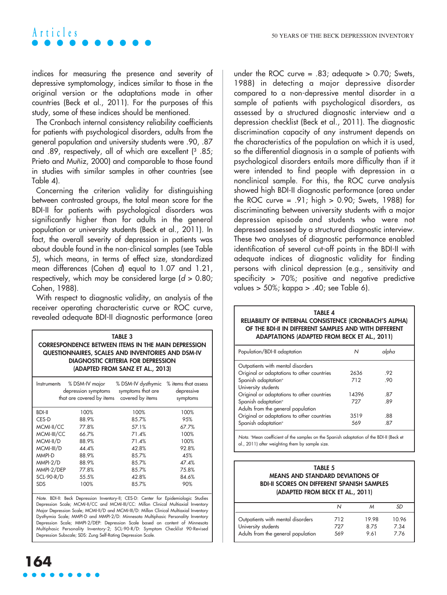# A **r** t i c l e s

indices for measuring the presence and severity of depressive symptomology, indices similar to those in the original version or the adaptations made in other countries (Beck et al., 2011). For the purposes of this study, some of these indices should be mentioned.

The Cronbach internal consistency reliability coefficients for patients with psychological disorders, adults from the general population and university students were .90, .87 and .89, respectively, all of which are excellent (3 .85; Prieto and Muñiz, 2000) and comparable to those found in studies with similar samples in other countries (see Table 4).

Concerning the criterion validity for distinguishing between contrasted groups, the total mean score for the BDI-II for patients with psychological disorders was significantly higher than for adults in the general population or university students (Beck et al., 2011). In fact, the overall severity of depression in patients was about double found in the non-clinical samples (see Table 5), which means, in terms of effect size, standardized mean differences (Cohen d) equal to 1.07 and 1.21, respectively, which may be considered large  $(d > 0.80)$ ; Cohen, 1988).

With respect to diagnostic validity, an analysis of the receiver operating characteristic curve or ROC curve, revealed adequate BDI-II diagnostic performance (area

| <b>TABLE 3</b><br><b>CORRESPONDENCE BETWEEN ITEMS IN THE MAIN DEPRESSION</b><br>QUESTIONNAIRES, SCALES AND INVENTORIES AND DSM-IV<br><b>DIAGNOSTIC CRITERIA FOR DEPRESSION</b><br>(ADAPTED FROM SANZ ET AL., 2013) |                                                                   |                                                                            |                        |  |
|--------------------------------------------------------------------------------------------------------------------------------------------------------------------------------------------------------------------|-------------------------------------------------------------------|----------------------------------------------------------------------------|------------------------|--|
| Instruments                                                                                                                                                                                                        | depression symptoms<br>that are covered by items covered by items | % DSM-IV major % DSM-IV dysthymic % items that assess<br>symptoms that are | depressive<br>symptoms |  |
| <b>BDI-II</b>                                                                                                                                                                                                      | 100%                                                              | 100%                                                                       | 100%                   |  |
| CES-D                                                                                                                                                                                                              | 88.9%                                                             | 85.7%                                                                      | 95%                    |  |
| MCMI-II/CC                                                                                                                                                                                                         | 77.8%                                                             | 57.1%                                                                      | 67.7%                  |  |
| MCMI-III/CC                                                                                                                                                                                                        | 66.7%                                                             | 71.4%                                                                      | 100%                   |  |
| MCMI-II/D                                                                                                                                                                                                          | 88.9%                                                             | 71.4%                                                                      | 100%                   |  |
| MCMI-III/D                                                                                                                                                                                                         | 44.4%                                                             | 42.8%                                                                      | 92.8%                  |  |
| MMPI-D                                                                                                                                                                                                             | 88.9%                                                             | 85.7%                                                                      | 45%                    |  |
| MMPI-2/D                                                                                                                                                                                                           | 88.9%                                                             | 85.7%                                                                      | 47.4%                  |  |
| MMPI-2/DEP                                                                                                                                                                                                         | 77.8%                                                             | 85.7%                                                                      | 75.8%                  |  |
| <b>SCL-90-R/D</b>                                                                                                                                                                                                  | 55.5%                                                             | 42.8%                                                                      | 84.6%                  |  |
| <b>SDS</b>                                                                                                                                                                                                         | 100%                                                              | 85.7%                                                                      | 90%                    |  |

Note. BDI-II: Beck Depression Inventory-II; CES-D: Center for Epidemiologic Studies Depression Scale; MCMI-II/CC and MCMI-III/CC: Millon Clinical Multiaxial Inventory Major Depression Scale; MCMI-II/D and MCMI-III/D: Millon Clinical Multiaxial Inventory Dysthymia Scale; MMPI-D and MMPI-2/D: Minnesota Multiphasic Personality Inventory Depression Scale; MMPI-2/DEP: Depression Scale based on content of Minnesota Multiphasic Personality Inventory-2; SCL-90-R/D: Symptom Checklist 90-Revised Depression Subscale; SDS: Zung Self-Rating Depression Scale.

under the ROC curve =  $.83$ ; adequate > 0.70; Swets, 1988) in detecting a major depressive disorder compared to a non-depressive mental disorder in a sample of patients with psychological disorders, as assessed by a structured diagnostic interview and a depression checklist (Beck et al., 2011). The diagnostic discrimination capacity of any instrument depends on the characteristics of the population on which it is used, so the differential diagnosis in a sample of patients with psychological disorders entails more difficulty than if it were intended to find people with depression in a nonclinical sample. For this, the ROC curve analysis showed high BDI-II diagnostic performance (area under the ROC curve =  $.91$ ; high > 0.90; Swets, 1988) for discriminating between university students with a major depression episode and students who were not depressed assessed by a structured diagnostic interview. These two analyses of diagnostic performance enabled identification of several cut-off points in the BDI-II with adequate indices of diagnostic validity for finding persons with clinical depression (e.g., sensitivity and specificity > 70%; positive and negative predictive values > 50%; kappa > .40; see Table 6).

#### **TABLE 4 RELIABILITY OF INTERNAL CONSISTENCE (CRONBACH'S ALPHA) OF THE BDI-II IN DIFFERENT SAMPLES AND WITH DIFFERENT ADAPTATIONS (ADAPTED FROM BECK ET AL., 2011)**

| Population/BDI-II adaptation               | Ν     | alpha |
|--------------------------------------------|-------|-------|
| Outpatients with mental disorders          |       |       |
| Original or adaptations to other countries | 2636  | .92   |
| Spanish adaptation <sup>o</sup>            | 712   | .90   |
| University students                        |       |       |
| Original or adaptations to other countries | 14396 | .87   |
| Spanish adaptation <sup>o</sup>            | 727   | .89   |
| Adults from the general population         |       |       |
| Original or adaptations to other countries | 3519  | .88   |
| Spanish adaptation <sup>®</sup>            | 569   | -87   |

Nota. "Mean coefficient of the samples on the Spanish adaptation of the BDI-II (Beck et al., 2011) after weighting them by sample size.

#### **TABLE 5 MEANS AND STANDARD DEVIATIONS OF BDI-II SCORES ON DIFFERENT SPANISH SAMPLES (ADAPTED FROM BECK ET AL., 2011)**

|                                    |     |       | SD    |
|------------------------------------|-----|-------|-------|
| Outpatients with mental disorders  | 712 | 1998  | 10.96 |
| University students                | 727 | 8 7 5 | 7.34  |
| Adults from the general population | 569 | 9.61  | 7 76  |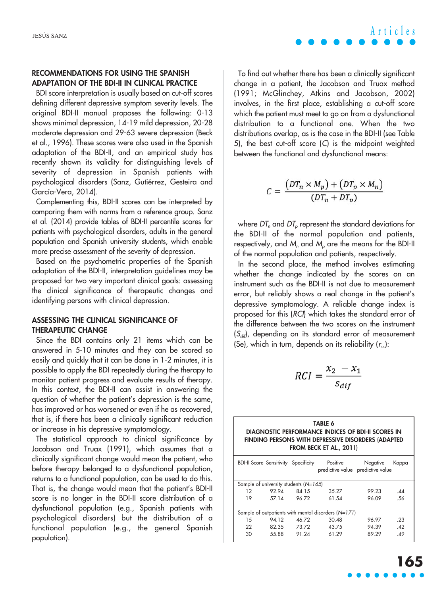### **RECOMMENDATIONS FOR USING THE SPANISH ADAPTATION OF THE BDI-II IN CLINICAL PRACTICE**

BDI score interpretation is usually based on cut-off scores defining different depressive symptom severity levels. The original BDI-II manual proposes the following: 0-13 shows minimal depression, 14-19 mild depression, 20-28 moderate depression and 29-63 severe depression (Beck et al., 1996). These scores were also used in the Spanish adaptation of the BDI-II, and an empirical study has recently shown its validity for distinguishing levels of severity of depression in Spanish patients with psychological disorders (Sanz, Gutiérrez, Gesteira and García-Vera, 2014).

Complementing this, BDI-II scores can be interpreted by comparing them with norms from a reference group. Sanz et al. (2014) provide tables of BDI-II percentile scores for patients with psychological disorders, adults in the general population and Spanish university students, which enable more precise assessment of the severity of depression.

Based on the psychometric properties of the Spanish adaptation of the BDI-II, interpretation guidelines may be proposed for two very important clinical goals: assessing the clinical significance of therapeutic changes and identifying persons with clinical depression.

### **ASSESSING THE CLINICAL SIGNIFICANCE OF THERAPEUTIC CHANGE**

Since the BDI contains only 21 items which can be answered in 5-10 minutes and they can be scored so easily and quickly that it can be done in 1-2 minutes, it is possible to apply the BDI repeatedly during the therapy to monitor patient progress and evaluate results of therapy. In this context, the BDI-II can assist in answering the question of whether the patient's depression is the same, has improved or has worsened or even if he as recovered, that is, if there has been a clinically significant reduction or increase in his depressive symptomology.

The statistical approach to clinical significance by Jacobson and Truax (1991), which assumes that a clinically significant change would mean the patient, who before therapy belonged to a dysfunctional population, returns to a functional population, can be used to do this. That is, the change would mean that the patient's BDI-II score is no longer in the BDI-II score distribution of a dysfunctional population (e.g., Spanish patients with psychological disorders) but the distribution of a functional population (e.g., the general Spanish population).

JESÚS SANZ **Articles**

To find out whether there has been a clinically significant change in a patient, the Jacobson and Truax method (1991; McGlinchey, Atkins and Jacobson, 2002) involves, in the first place, establishing a cut-off score which the patient must meet to go on from a dysfunctional distribution to a functional one. When the two distributions overlap, as is the case in the BDI-II (see Table 5), the best cut-off score (C) is the midpoint weighted between the functional and dysfunctional means:

$$
C = \frac{(DT_n \times M_p) + (DT_p \times M_n)}{(DT_n + DT_n)}
$$

where  $DT<sub>n</sub>$  and  $DT<sub>n</sub>$  represent the standard deviations for the BDI-II of the normal population and patients, respectively, and  $M<sub>n</sub>$  and  $M<sub>n</sub>$  are the means for the BDI-II of the normal population and patients, respectively.

In the second place, the method involves estimating whether the change indicated by the scores on an instrument such as the BDI-II is not due to measurement error, but reliably shows a real change in the patient's depressive symptomology. A reliable change index is proposed for this (RCI) which takes the standard error of the difference between the two scores on the instrument  $(S_{di}$ , depending on its standard error of measurement (Se), which in turn, depends on its reliability  $(r<sub>xx</sub>)$ :

$$
RCI = \frac{x_2 - x_1}{s_{dif}}
$$

| TABLE 6                                            |
|----------------------------------------------------|
| DIAGNOSTIC PERFORMANCE INDICES OF BDI-II SCORES IN |
| FINDING PERSONS WITH DEPRESSIVE DISORDERS (ADAPTED |
| FROM BECK ET AL., 2011)                            |
|                                                    |

|                                                       | <b>BDI-II Score Sensitivity Specificity</b> |       | Positive<br>predictive value predictive value | Negative | Kappa |
|-------------------------------------------------------|---------------------------------------------|-------|-----------------------------------------------|----------|-------|
| Sample of university students ( $N=165$ )             |                                             |       |                                               |          |       |
| 12                                                    | 9294                                        | 84.15 | 35.27                                         | 99.23    | .44   |
| 19                                                    | 57 14                                       | 96.72 | 61.54                                         | 96.09    | .56   |
| Sample of outpatients with mental disorders $(N=171)$ |                                             |       |                                               |          |       |
| 15                                                    | 94.12                                       | 46.72 | 30.48                                         | 96.97    | .23   |
| 22                                                    | 82.35                                       | 73.72 | 43.75                                         | 94.39    | .42   |
| 30                                                    | 55.88                                       | 91.24 | 61.29                                         | 89.29    | .49   |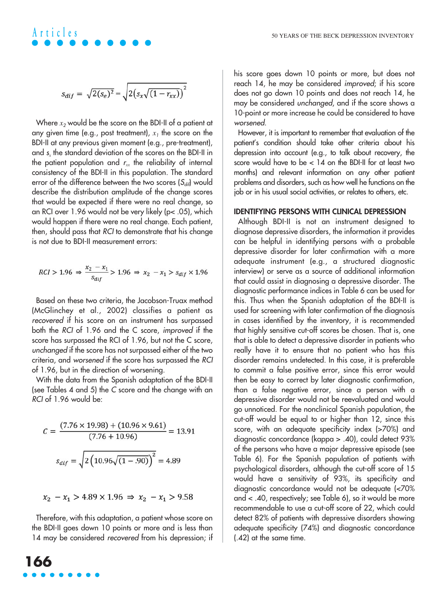# **Articles**

$$
s_{dif} = \sqrt{2(s_e)^2} = \sqrt{2(s_x\sqrt{(1 - r_{xx})})^2}
$$

Where  $x_2$  would be the score on the BDI-II of a patient at any given time (e.g., post treatment),  $x_1$  the score on the BDI-II at any previous given moment (e.g., pre-treatment), and <sup>s</sup>*<sup>x</sup>* the standard deviation of the scores on the BDI-II in the patient population and  $r_{xx}$  the reliability of internal consistency of the BDI-II in this population. The standard error of the difference between the two scores  $(S_{di}$ ) would describe the distribution amplitude of the change scores that would be expected if there were no real change, so an RCI over 1.96 would not be very likely (p< .05), which would happen if there were no real change. Each patient, then, should pass that RCI to demonstrate that his change is not due to BDI-II measurement errors:

$$
RCI > 1.96 \Rightarrow \frac{x_2 - x_1}{s_{dif}} > 1.96 \Rightarrow x_2 - x_1 > s_{dif} \times 1.96
$$

Based on these two criteria, the Jacobson-Truax method (McGlinchey et al., 2002) classifies a patient as recovered if his score on an instrument has surpassed both the RCI of 1.96 and the C score, improved if the score has surpassed the RCI of 1.96, but not the C score, unchanged if the score has not surpassed either of the two criteria, and worsened if the score has surpassed the RCI of 1.96, but in the direction of worsening.

With the data from the Spanish adaptation of the BDI-II (see Tables 4 and 5) the C score and the change with an RCI of 1.96 would be:

$$
C = \frac{(7.76 \times 19.98) + (10.96 \times 9.61)}{(7.76 + 10.96)} = 13.91
$$

$$
s_{dif} = \sqrt{2 \left( 10.96 \sqrt{(1 - .90)} \right)^2} = 4.89
$$

$$
x_2 - x_1 > 4.89 \times 1.96 \Rightarrow x_2 - x_1 > 9.58
$$

Therefore, with this adaptation, a patient whose score on the BDI-II goes down 10 points or more and is less than 14 may be considered recovered from his depression; if his score goes down 10 points or more, but does not reach 14, he may be considered improved; if his score does not go down 10 points and does not reach 14, he may be considered unchanged, and if the score shows a 10-point or more increase he could be considered to have worsened.

However, it is important to remember that evaluation of the patient's condition should take other criteria about his depression into account (e.g., to talk about recovery, the score would have to be < 14 on the BDI-II for at least two months) and relevant information on any other patient problems and disorders, such as how well he functions on the job or in his usual social activities, or relates to others, etc.

#### **IDENTIFYING PERSONS WITH CLINICAL DEPRESSION**

Although BDI-II is not an instrument designed to diagnose depressive disorders, the information it provides can be helpful in identifying persons with a probable depressive disorder for later confirmation with a more adequate instrument (e.g., a structured diagnostic interview) or serve as a source of additional information that could assist in diagnosing a depressive disorder. The diagnostic performance indices in Table 6 can be used for this. Thus when the Spanish adaptation of the BDI-II is used for screening with later confirmation of the diagnosis in cases identified by the inventory, it is recommended that highly sensitive cut-off scores be chosen. That is, one that is able to detect a depressive disorder in patients who really have it to ensure that no patient who has this disorder remains undetected. In this case, it is preferable to commit a false positive error, since this error would then be easy to correct by later diagnostic confirmation, than a false negative error, since a person with a depressive disorder would not be reevaluated and would go unnoticed. For the nonclinical Spanish population, the cut-off would be equal to or higher than 12, since this score, with an adequate specificity index (>70%) and diagnostic concordance (kappa > .40), could detect 93% of the persons who have a major depressive episode (see Table 6). For the Spanish population of patients with psychological disorders, although the cut-off score of 15 would have a sensitivity of 93%, its specificity and diagnostic concordance would not be adequate (<70% and < .40, respectively; see Table 6), so it would be more recommendable to use a cut-off score of 22, which could detect 82% of patients with depressive disorders showing adequate specificity (74%) and diagnostic concordance (.42) at the same time.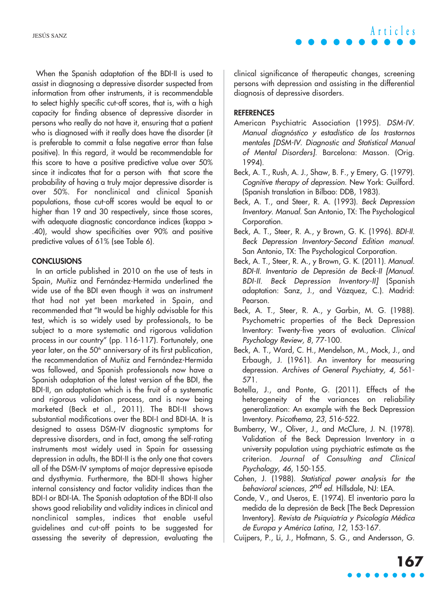When the Spanish adaptation of the BDI-II is used to assist in diagnosing a depressive disorder suspected from information from other instruments, it is recommendable to select highly specific cut-off scores, that is, with a high capacity for finding absence of depressive disorder in persons who really do not have it, ensuring that a patient who is diagnosed with it really does have the disorder (it is preferable to commit a false negative error than false positive). In this regard, it would be recommendable for this score to have a positive predictive value over 50% since it indicates that for a person with that score the probability of having a truly major depressive disorder is over 50%. For nonclinical and clinical Spanish populations, those cut-off scores would be equal to or higher than 19 and 30 respectively, since those scores, with adequate diagnostic concordance indices (kappa > .40), would show specificities over 90% and positive predictive values of 61% (see Table 6).

### **CONCLUSIONS**

In an article published in 2010 on the use of tests in Spain, Muñiz and Fernández-Hermida underlined the wide use of the BDI even though it was an instrument that had not yet been marketed in Spain, and recommended that "It would be highly advisable for this test, which is so widely used by professionals, to be subject to a more systematic and rigorous validation process in our country" (pp. 116-117). Fortunately, one year later, on the 50<sup>th</sup> anniversary of its first publication, the recommendation of Muñiz and Fernández-Hermida was followed, and Spanish professionals now have a Spanish adaptation of the latest version of the BDI, the BDI-II, an adaptation which is the fruit of a systematic and rigorous validation process, and is now being marketed (Beck et al., 2011). The BDI-II shows substantial modifications over the BDI-I and BDI-IA. It is designed to assess DSM-IV diagnostic symptoms for depressive disorders, and in fact, among the self-rating instruments most widely used in Spain for assessing depression in adults, the BDI-II is the only one that covers all of the DSM-IV symptoms of major depressive episode and dysthymia. Furthermore, the BDI-II shows higher internal consistency and factor validity indices than the BDI-I or BDI-IA. The Spanish adaptation of the BDI-II also shows good reliability and validity indices in clinical and nonclinical samples, indices that enable useful guidelines and cut-off points to be suggested for assessing the severity of depression, evaluating the

clinical significance of therapeutic changes, screening persons with depression and assisting in the differential diagnosis of depressive disorders.

# **REFERENCES**

- American Psychiatric Association (1995). DSM-IV. Manual diagnóstico y estadístico de los trastornos mentales [DSM-IV. Diagnostic and Statistical Manual of Mental Disorders]. Barcelona: Masson. (Orig. 1994).
- Beck, A. T., Rush, A. J., Shaw, B. F., y Emery, G. (1979). Cognitive therapy of depression. New York: Guilford. (Spanish translation in Bilbao: DDB, 1983).
- Beck, A. T., and Steer, R. A. (1993). Beck Depression Inventory. Manual. San Antonio, TX: The Psychological Corporation.
- Beck, A. T., Steer, R. A., y Brown, G. K. (1996). BDI-II. Beck Depression Inventory-Second Edition manual. San Antonio, TX: The Psychological Corporation.
- Beck, A. T., Steer, R. A., y Brown, G. K. (2011). Manual. BDI-II. Inventario de Depresión de Beck-II [Manual. BDI-II. Beck Depression Inventory-II] (Spanish adaptation: Sanz, J., and Vázquez, C.). Madrid: Pearson.
- Beck, A. T., Steer, R. A., y Garbin, M. G. (1988). Psychometric properties of the Beck Depression Inventory: Twenty-five years of evaluation. Clinical Psychology Review, 8, 77-100.
- Beck, A. T., Ward, C. H., Mendelson, M., Mock, J., and Erbaugh, J. (1961). An inventory for measuring depression. Archives of General Psychiatry, 4, 561- 571.
- Botella, J., and Ponte, G. (2011). Effects of the heterogeneity of the variances on reliability generalization: An example with the Beck Depression Inventory. Psicothema, 23, 516-522.
- Bumberry, W., Oliver, J., and McClure, J. N. (1978). Validation of the Beck Depression Inventory in a university population using psychiatric estimate as the criterion. Journal of Consulting and Clinical Psychology, 46, 150-155.
- Cohen, J. (1988). Statistical power analysis for the behavioral sciences, 2<sup>nd</sup> ed. Hillsdale, NJ: LEA.
- Conde, V., and Useros, E. (1974). El inventario para la medida de la depresión de Beck [The Beck Depression Inventory]. Revista de Psiquiatría y Psicología Médica de Europa y América Latina, 12, 153-167.
- Cuijpers, P., Li, J., Hofmann, S. G., and Andersson, G.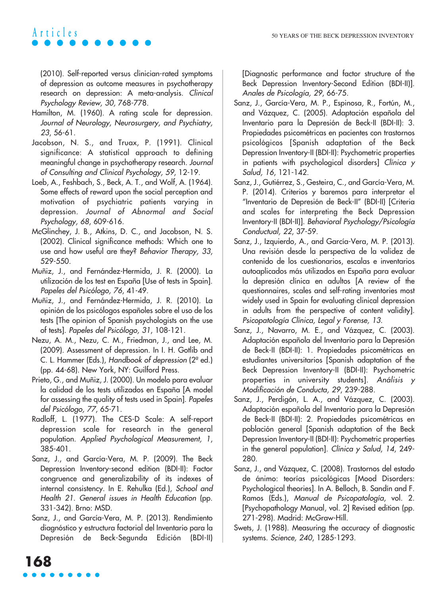# **Articles**

(2010). Self-reported versus clinician-rated symptoms of depression as outcome measures in psychotherapy research on depression: A meta-analysis. Clinical Psychology Review, 30, 768-778.

- Hamilton, M. (1960). A rating scale for depression. Journal of Neurology, Neurosurgery, and Psychiatry, 23, 56-61.
- Jacobson, N. S., and Truax, P. (1991). Clinical significance: A statistical approach to defining meaningful change in psychotherapy research. Journal of Consulting and Clinical Psychology, 59, 12-19.
- Loeb, A., Feshbach, S., Beck, A. T., and Wolf, A. (1964). Some effects of reward upon the social perception and motivation of psychiatric patients varying in depression. Journal of Abnormal and Social Psychology, 68, 609-616.
- McGlinchey, J. B., Atkins, D. C., and Jacobson, N. S. (2002). Clinical significance methods: Which one to use and how useful are they? Behavior Therapy, 33, 529-550.
- Muñiz, J., and Fernández-Hermida, J. R. (2000). La utilización de los test en España [Use of tests in Spain]. Papeles del Psicólogo, 76, 41-49.
- Muñiz, J., and Fernández-Hermida, J. R. (2010). La opinión de los psicólogos españoles sobre el uso de los tests [The opinion of Spanish psychologists on the use of tests]. Papeles del Psicólogo, 31, 108-121.
- Nezu, A. M., Nezu, C. M., Friedman, J., and Lee, M. (2009). Assessment of depression. In I. H. Gotlib and C. L. Hammer (Eds.), Handbook of depression (2ª ed.) (pp. 44-68). New York, NY: Guilford Press.
- Prieto, G., and Muñiz, J. (2000). Un modelo para evaluar la calidad de los tests utilizados en España [A model for assessing the quality of tests used in Spain]. Papeles del Psicólogo, 77, 65-71.
- Radloff, L. (1977). The CES-D Scale: A self-report depression scale for research in the general population. Applied Psychological Measurement, 1, 385-401.
- Sanz, J., and García-Vera, M. P. (2009). The Beck Depression Inventory-second edition (BDI-II): Factor congruence and generalizability of its indexes of internal consistency. In E. Rehulka (Ed.), School and Health 21. General issues in Health Education (pp. 331-342). Brno: MSD.
- Sanz, J., and García-Vera, M. P. (2013). Rendimiento diagnóstico y estructura factorial del Inventario para la Depresión de Beck-Segunda Edición (BDI-II)

[Diagnostic performance and factor structure of the Beck Depression Inventory-Second Edition (BDI-II)]. Anales de Psicología, 29, 66-75.

- Sanz, J., García-Vera, M. P., Espinosa, R., Fortún, M., and Vázquez, C. (2005). Adaptación española del Inventario para la Depresión de Beck-II (BDI-II): 3. Propiedades psicométricas en pacientes con trastornos psicológicos [Spanish adaptation of the Beck Depression Inventory-II (BDI-II): Psychometric properties in patients with psychological disorders] Clínica y Salud, 16, 121-142.
- Sanz, J., Gutiérrez, S., Gesteira, C., and García-Vera, M. P. (2014). Criterios y baremos para interpretar el "Inventario de Depresión de Beck-II" (BDI-II) [Criteria and scales for interpreting the Beck Depression Inventory-II (BDI-II)]. Behavioral Psychology/Psicología Conductual, 22, 37-59.
- Sanz, J., Izquierdo, A., and García-Vera, M. P. (2013). Una revisión desde la perspectiva de la validez de contenido de los cuestionarios, escalas e inventarios autoaplicados más utilizados en España para evaluar la depresión clínica en adultos [A review of the questionnaires, scales and self-rating inventories most widely used in Spain for evaluating clinical depression in adults from the perspective of content validity]. Psicopatología Clínica, Legal y Forense, 13.
- Sanz, J., Navarro, M. E., and Vázquez, C. (2003). Adaptación española del Inventario para la Depresión de Beck-II (BDI-II): 1. Propiedades psicométricas en estudiantes universitarios [Spanish adaptation of the Beck Depression Inventory-II (BDI-II): Psychometric properties in university students]. Análisis y Modificación de Conducta, 29, 239-288.
- Sanz, J., Perdigón, L. A., and Vázquez, C. (2003). Adaptación española del Inventario para la Depresión de Beck-II (BDI-II): 2. Propiedades psicométricas en población general [Spanish adaptation of the Beck Depression Inventory-II (BDI-II): Psychometric properties in the general population]. Clínica y Salud, 14, 249- 280.
- Sanz, J., and Vázquez, C. (2008). Trastornos del estado de ánimo: teorías psicológicas [Mood Disorders: Psychological theories]. In A. Belloch, B. Sandín and F. Ramos (Eds.), Manual de Psicopatología, vol. 2. [Psychopathology Manual, vol. 2] Revised edition (pp. 271-298). Madrid: McGraw-Hill.
- Swets, J. (1988). Measuring the accuracy of diagnostic systems. Science, 240, 1285-1293.